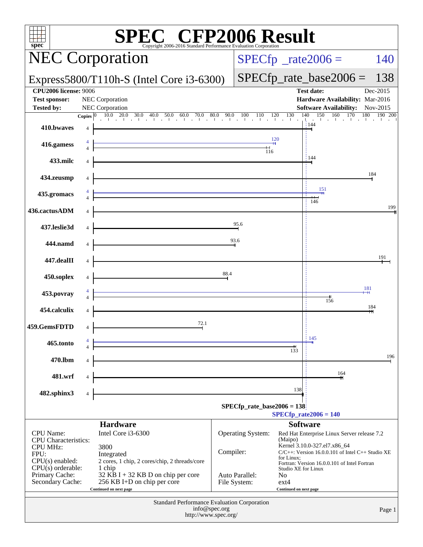| $spec*$                                                                   |                | <b>SPEC<sup>®</sup></b> CFP2006 <sub>Result</sub><br>Copyright 2006-2016 Standard Performance Evaluation Corporation                                                          |               |                                |                        |                                                                                                |          |
|---------------------------------------------------------------------------|----------------|-------------------------------------------------------------------------------------------------------------------------------------------------------------------------------|---------------|--------------------------------|------------------------|------------------------------------------------------------------------------------------------|----------|
|                                                                           |                | <b>NEC Corporation</b>                                                                                                                                                        |               |                                |                        | $SPECfp^*$ _rate2006 =                                                                         | 140      |
|                                                                           |                | Express5800/T110h-S (Intel Core $i3-6300$ )                                                                                                                                   |               |                                |                        | $SPECfp\_rate\_base2006 =$                                                                     | 138      |
| <b>CPU2006 license: 9006</b><br><b>Test sponsor:</b><br><b>Tested by:</b> |                | NEC Corporation<br><b>NEC Corporation</b>                                                                                                                                     |               |                                |                        | <b>Test date:</b><br>Hardware Availability: Mar-2016<br><b>Software Availability:</b> Nov-2015 | Dec-2015 |
|                                                                           |                | <b>Copies</b> $\begin{bmatrix} 0 & 10 & 0 & 20 & 0 & 30 & 40 & 50 & 0 & 60 & 70 & 0 & 80 & 90 & 10 & 110 & 120 & 130 & 140 & 150 & 160 & 170 & 180 & 190 & 200 \end{bmatrix}$ |               |                                |                        |                                                                                                |          |
| 410.bwaves                                                                | $\overline{4}$ |                                                                                                                                                                               |               |                                |                        | 144                                                                                            |          |
| 416.gamess                                                                |                | $\begin{array}{c c}\n & 12 \\  \hline\n & 116\n \end{array}$                                                                                                                  |               |                                | 120                    |                                                                                                |          |
|                                                                           |                |                                                                                                                                                                               |               |                                |                        | : 144                                                                                          |          |
| 433.milc                                                                  |                |                                                                                                                                                                               |               |                                |                        |                                                                                                |          |
| 434.zeusmp                                                                |                |                                                                                                                                                                               |               |                                |                        |                                                                                                | 184      |
| 435.gromacs                                                               |                |                                                                                                                                                                               |               |                                |                        | 151                                                                                            |          |
|                                                                           |                |                                                                                                                                                                               |               |                                |                        | 146                                                                                            | 199      |
| 436.cactusADM                                                             |                |                                                                                                                                                                               |               |                                |                        |                                                                                                |          |
| 437.leslie3d                                                              |                | <u> 1989 - Johann Barn, amerikansk politiker (</u>                                                                                                                            |               | 95.6                           |                        |                                                                                                |          |
| 444.namd                                                                  |                | <u> 1980 - Johann Barn, fransk politik (d. 1980)</u>                                                                                                                          |               | 93.6                           |                        |                                                                                                |          |
| 447.dealII                                                                |                |                                                                                                                                                                               |               |                                |                        |                                                                                                | 191      |
| 450.soplex                                                                |                | <u> 1989 - Johann Barn, fransk politik (</u>                                                                                                                                  | 88.4          |                                |                        |                                                                                                |          |
|                                                                           |                |                                                                                                                                                                               |               |                                |                        |                                                                                                | 181      |
| 453.povray                                                                |                |                                                                                                                                                                               |               |                                |                        | 156                                                                                            |          |
| 454.calculix                                                              |                |                                                                                                                                                                               |               |                                |                        |                                                                                                | 184      |
| 459.GemsFDTD                                                              | $\overline{4}$ | 72.1                                                                                                                                                                          |               |                                |                        |                                                                                                |          |
| 465.tonto                                                                 |                |                                                                                                                                                                               |               |                                |                        | $\frac{1}{2}$ 145                                                                              |          |
|                                                                           |                | <u> 1989 - Johann Barn, mars eta bainar eta idazlea (</u>                                                                                                                     |               |                                | 133                    |                                                                                                | 196      |
| 470.lbm                                                                   |                |                                                                                                                                                                               |               |                                |                        |                                                                                                |          |
| 481.wrf                                                                   | 4              | <u> 1989 - Johann Stein, mars an t-Amerikaansk kommunister (</u>                                                                                                              |               |                                |                        | 164                                                                                            |          |
| 482.sphinx3                                                               |                |                                                                                                                                                                               |               |                                | 138                    |                                                                                                |          |
|                                                                           |                |                                                                                                                                                                               |               | $SPECfp\_rate\_base2006 = 138$ |                        |                                                                                                |          |
|                                                                           |                | <b>Hardware</b>                                                                                                                                                               |               |                                |                        | $SPECfp_{rate}2006 = 140$<br><b>Software</b>                                                   |          |
| <b>CPU</b> Name:                                                          |                | Intel Core i3-6300                                                                                                                                                            |               | Operating System:              |                        | Red Hat Enterprise Linux Server release 7.2                                                    |          |
| <b>CPU</b> Characteristics:<br><b>CPU MHz:</b>                            |                | 3800                                                                                                                                                                          |               |                                | (Maipo)                | Kernel 3.10.0-327.el7.x86_64                                                                   |          |
| FPU:<br>$CPU(s)$ enabled:                                                 |                | Integrated<br>2 cores, 1 chip, 2 cores/chip, 2 threads/core                                                                                                                   | Compiler:     |                                | for Linux:             | $C/C++$ : Version 16.0.0.101 of Intel $C++$ Studio XE                                          |          |
| $CPU(s)$ orderable:<br>Primary Cache:                                     |                | 1 chip<br>$32$ KB I + 32 KB D on chip per core                                                                                                                                |               |                                | Studio XE for Linux    | Fortran: Version 16.0.0.101 of Intel Fortran                                                   |          |
| Secondary Cache:                                                          |                | 256 KB I+D on chip per core                                                                                                                                                   |               | Auto Parallel:<br>File System: | N <sub>0</sub><br>ext4 |                                                                                                |          |
|                                                                           |                | Continued on next page                                                                                                                                                        |               |                                | Continued on next page |                                                                                                |          |
|                                                                           |                | Standard Performance Evaluation Corporation<br>http://www.spec.org/                                                                                                           | info@spec.org |                                |                        |                                                                                                | Page 1   |
|                                                                           |                |                                                                                                                                                                               |               |                                |                        |                                                                                                |          |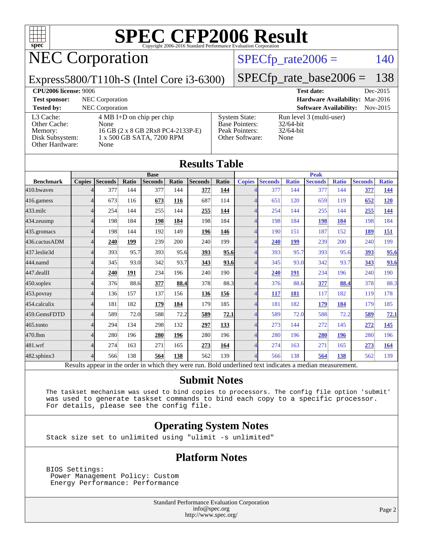

## NEC Corporation

## $SPECTp\_rate2006 = 140$

[Base Pointers:](http://www.spec.org/auto/cpu2006/Docs/result-fields.html#BasePointers) 32/64-bit<br>Peak Pointers: 32/64-bit

[Other Software:](http://www.spec.org/auto/cpu2006/Docs/result-fields.html#OtherSoftware) None

[Peak Pointers:](http://www.spec.org/auto/cpu2006/Docs/result-fields.html#PeakPointers)

Express5800/T110h-S (Intel Core i3-6300)

[SPECfp\\_rate\\_base2006 =](http://www.spec.org/auto/cpu2006/Docs/result-fields.html#SPECfpratebase2006) 138

**[CPU2006 license:](http://www.spec.org/auto/cpu2006/Docs/result-fields.html#CPU2006license)** 9006 **[Test date:](http://www.spec.org/auto/cpu2006/Docs/result-fields.html#Testdate)** Dec-2015 **[Test sponsor:](http://www.spec.org/auto/cpu2006/Docs/result-fields.html#Testsponsor)** NEC Corporation **[Hardware Availability:](http://www.spec.org/auto/cpu2006/Docs/result-fields.html#HardwareAvailability)** Mar-2016 **[Tested by:](http://www.spec.org/auto/cpu2006/Docs/result-fields.html#Testedby)** NEC Corporation **[Software Availability:](http://www.spec.org/auto/cpu2006/Docs/result-fields.html#SoftwareAvailability)** Nov-2015 [System State:](http://www.spec.org/auto/cpu2006/Docs/result-fields.html#SystemState) Run level 3 (multi-user)<br>Base Pointers:  $32/64$ -bit

[L3 Cache:](http://www.spec.org/auto/cpu2006/Docs/result-fields.html#L3Cache) 4 MB I+D on chip per chip<br>Other Cache: None [Other Cache:](http://www.spec.org/auto/cpu2006/Docs/result-fields.html#OtherCache) [Memory:](http://www.spec.org/auto/cpu2006/Docs/result-fields.html#Memory) 16 GB (2 x 8 GB 2Rx8 PC4-2133P-E) [Disk Subsystem:](http://www.spec.org/auto/cpu2006/Docs/result-fields.html#DiskSubsystem) 1 x 500 GB SATA, 7200 RPM [Other Hardware:](http://www.spec.org/auto/cpu2006/Docs/result-fields.html#OtherHardware) None

| <b>Results Table</b> |               |                |            |                |       |                |       |               |                |              |                |              |                |              |
|----------------------|---------------|----------------|------------|----------------|-------|----------------|-------|---------------|----------------|--------------|----------------|--------------|----------------|--------------|
| <b>Base</b>          |               |                |            |                |       |                |       | <b>Peak</b>   |                |              |                |              |                |              |
| <b>Benchmark</b>     | <b>Copies</b> | <b>Seconds</b> | Ratio      | <b>Seconds</b> | Ratio | <b>Seconds</b> | Ratio | <b>Copies</b> | <b>Seconds</b> | <b>Ratio</b> | <b>Seconds</b> | <b>Ratio</b> | <b>Seconds</b> | <b>Ratio</b> |
| 410.bwayes           |               | 377            | 144        | 377            | 144   | 377            | 144   |               | 377            | 144          | 377            | 144          | 377            | <u>144</u>   |
| $416$ .gamess        |               | 673            | 116        | 673            | 116   | 687            | 114   |               | 651            | 120          | 659            | 119          | 652            | 120          |
| $433$ .milc          |               | 254            | 144        | 255            | 144   | 255            | 144   |               | 254            | 144          | 255            | 144          | <u>255</u>     | <u>144</u>   |
| $434$ . zeusmp       |               | 198            | 184        | <b>198</b>     | 184   | 198            | 184   |               | 198            | 184          | 198            | 184          | 198            | 184          |
| 435.gromacs          |               | 198            | 144        | 192            | 149   | 196            | 146   |               | 190            | 151          | 187            | 152          | <u>189</u>     | 151          |
| 436.cactusADM        |               | 240            | 199        | 239            | 200   | 240            | 199   | 4             | 240            | <b>199</b>   | 239            | 200          | 240            | 199          |
| 437.leslie3d         |               | 393            | 95.7       | 393            | 95.6  | 393            | 95.6  |               | 393            | 95.7         | 393            | 95.6         | 393            | 95.6         |
| 444.namd             |               | 345            | 93.0       | 342            | 93.7  | 343            | 93.6  |               | 345            | 93.0         | 342            | 93.7         | 343            | 93.6         |
| 447.dealII           |               | 240            | <u>191</u> | 234            | 196   | 240            | 190   |               | 240            | 191          | 234            | 196          | 240            | 190          |
| 450.soplex           |               | 376            | 88.6       | 377            | 88.4  | 378            | 88.3  |               | 376            | 88.6         | 377            | 88.4         | 378            | 88.3         |
| 453.povray           |               | 136            | 157        | 137            | 156   | 136            | 156   |               | 117            | 181          | 117            | 182          | 119            | 178          |
| 454.calculix         |               | 181            | 182        | 179            | 184   | 179            | 185   |               | 181            | 182          | 179            | 184          | 179            | 185          |
| 459.GemsFDTD         |               | 589            | 72.0       | 588            | 72.2  | 589            | 72.1  |               | 589            | 72.0         | 588            | 72.2         | 589            | 72.1         |
| $465$ .tonto         |               | 294            | 134        | 298            | 132   | 297            | 133   |               | 273            | 144          | 272            | 145          | 272            | 145          |
| 470.1bm              |               | 280            | 196        | 280            | 196   | 280            | 196   |               | 280            | 196          | 280            | 196          | 280            | 196          |
| 481.wrf              |               | 274            | 163        | 271            | 165   | 273            | 164   |               | 274            | 163          | 271            | 165          | 273            | 164          |
| $482$ .sphinx $3$    |               | 566            | 138        | 564            | 138   | 562            | 139   |               | 566            | 138          | 564            | 138          | 562            | 139          |

Results appear in the [order in which they were run.](http://www.spec.org/auto/cpu2006/Docs/result-fields.html#RunOrder) Bold underlined text [indicates a median measurement.](http://www.spec.org/auto/cpu2006/Docs/result-fields.html#Median)

### **[Submit Notes](http://www.spec.org/auto/cpu2006/Docs/result-fields.html#SubmitNotes)**

 The taskset mechanism was used to bind copies to processors. The config file option 'submit' was used to generate taskset commands to bind each copy to a specific processor. For details, please see the config file.

### **[Operating System Notes](http://www.spec.org/auto/cpu2006/Docs/result-fields.html#OperatingSystemNotes)**

Stack size set to unlimited using "ulimit -s unlimited"

### **[Platform Notes](http://www.spec.org/auto/cpu2006/Docs/result-fields.html#PlatformNotes)**

 BIOS Settings: Power Management Policy: Custom Energy Performance: Performance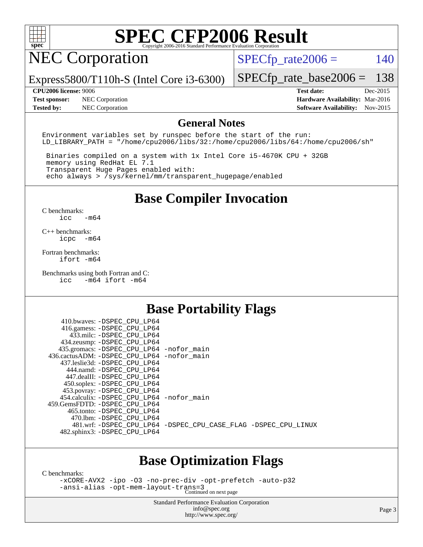

### NEC Corporation

 $SPECTp_rate2006 = 140$ 

Express5800/T110h-S (Intel Core i3-6300)

[SPECfp\\_rate\\_base2006 =](http://www.spec.org/auto/cpu2006/Docs/result-fields.html#SPECfpratebase2006) 138

**[Test sponsor:](http://www.spec.org/auto/cpu2006/Docs/result-fields.html#Testsponsor)** NEC Corporation **[Hardware Availability:](http://www.spec.org/auto/cpu2006/Docs/result-fields.html#HardwareAvailability)** Mar-2016

**[CPU2006 license:](http://www.spec.org/auto/cpu2006/Docs/result-fields.html#CPU2006license)** 9006 **[Test date:](http://www.spec.org/auto/cpu2006/Docs/result-fields.html#Testdate)** Dec-2015 **[Tested by:](http://www.spec.org/auto/cpu2006/Docs/result-fields.html#Testedby)** NEC Corporation **[Software Availability:](http://www.spec.org/auto/cpu2006/Docs/result-fields.html#SoftwareAvailability)** Nov-2015

#### **[General Notes](http://www.spec.org/auto/cpu2006/Docs/result-fields.html#GeneralNotes)**

Environment variables set by runspec before the start of the run: LD LIBRARY PATH = "/home/cpu2006/libs/32:/home/cpu2006/libs/64:/home/cpu2006/sh"

 Binaries compiled on a system with 1x Intel Core i5-4670K CPU + 32GB memory using RedHat EL 7.1 Transparent Huge Pages enabled with: echo always > /sys/kernel/mm/transparent\_hugepage/enabled

### **[Base Compiler Invocation](http://www.spec.org/auto/cpu2006/Docs/result-fields.html#BaseCompilerInvocation)**

[C benchmarks](http://www.spec.org/auto/cpu2006/Docs/result-fields.html#Cbenchmarks): [icc -m64](http://www.spec.org/cpu2006/results/res2016q1/cpu2006-20160125-38943.flags.html#user_CCbase_intel_icc_64bit_0b7121f5ab7cfabee23d88897260401c)

[C++ benchmarks:](http://www.spec.org/auto/cpu2006/Docs/result-fields.html#CXXbenchmarks) [icpc -m64](http://www.spec.org/cpu2006/results/res2016q1/cpu2006-20160125-38943.flags.html#user_CXXbase_intel_icpc_64bit_bedb90c1146cab66620883ef4f41a67e)

[Fortran benchmarks](http://www.spec.org/auto/cpu2006/Docs/result-fields.html#Fortranbenchmarks): [ifort -m64](http://www.spec.org/cpu2006/results/res2016q1/cpu2006-20160125-38943.flags.html#user_FCbase_intel_ifort_64bit_ee9d0fb25645d0210d97eb0527dcc06e)

[Benchmarks using both Fortran and C](http://www.spec.org/auto/cpu2006/Docs/result-fields.html#BenchmarksusingbothFortranandC): [icc -m64](http://www.spec.org/cpu2006/results/res2016q1/cpu2006-20160125-38943.flags.html#user_CC_FCbase_intel_icc_64bit_0b7121f5ab7cfabee23d88897260401c) [ifort -m64](http://www.spec.org/cpu2006/results/res2016q1/cpu2006-20160125-38943.flags.html#user_CC_FCbase_intel_ifort_64bit_ee9d0fb25645d0210d97eb0527dcc06e)

### **[Base Portability Flags](http://www.spec.org/auto/cpu2006/Docs/result-fields.html#BasePortabilityFlags)**

| 410.bwaves: -DSPEC_CPU_LP64                |                                                                |
|--------------------------------------------|----------------------------------------------------------------|
| 416.gamess: -DSPEC_CPU_LP64                |                                                                |
| 433.milc: -DSPEC CPU LP64                  |                                                                |
| 434.zeusmp: -DSPEC_CPU_LP64                |                                                                |
| 435.gromacs: -DSPEC_CPU_LP64 -nofor_main   |                                                                |
| 436.cactusADM: -DSPEC CPU LP64 -nofor main |                                                                |
| 437.leslie3d: -DSPEC CPU LP64              |                                                                |
| 444.namd: - DSPEC_CPU_LP64                 |                                                                |
| 447.dealII: -DSPEC CPU LP64                |                                                                |
| 450.soplex: -DSPEC_CPU_LP64                |                                                                |
| 453.povray: -DSPEC_CPU_LP64                |                                                                |
| 454.calculix: -DSPEC CPU LP64 -nofor main  |                                                                |
| 459.GemsFDTD: - DSPEC_CPU LP64             |                                                                |
| 465.tonto: - DSPEC CPU LP64                |                                                                |
| 470.1bm: - DSPEC CPU LP64                  |                                                                |
|                                            | 481.wrf: -DSPEC_CPU_LP64 -DSPEC_CPU_CASE_FLAG -DSPEC_CPU_LINUX |
| 482.sphinx3: -DSPEC_CPU_LP64               |                                                                |

### **[Base Optimization Flags](http://www.spec.org/auto/cpu2006/Docs/result-fields.html#BaseOptimizationFlags)**

[C benchmarks](http://www.spec.org/auto/cpu2006/Docs/result-fields.html#Cbenchmarks):

[-xCORE-AVX2](http://www.spec.org/cpu2006/results/res2016q1/cpu2006-20160125-38943.flags.html#user_CCbase_f-xAVX2_5f5fc0cbe2c9f62c816d3e45806c70d7) [-ipo](http://www.spec.org/cpu2006/results/res2016q1/cpu2006-20160125-38943.flags.html#user_CCbase_f-ipo) [-O3](http://www.spec.org/cpu2006/results/res2016q1/cpu2006-20160125-38943.flags.html#user_CCbase_f-O3) [-no-prec-div](http://www.spec.org/cpu2006/results/res2016q1/cpu2006-20160125-38943.flags.html#user_CCbase_f-no-prec-div) [-opt-prefetch](http://www.spec.org/cpu2006/results/res2016q1/cpu2006-20160125-38943.flags.html#user_CCbase_f-opt-prefetch) [-auto-p32](http://www.spec.org/cpu2006/results/res2016q1/cpu2006-20160125-38943.flags.html#user_CCbase_f-auto-p32) [-ansi-alias](http://www.spec.org/cpu2006/results/res2016q1/cpu2006-20160125-38943.flags.html#user_CCbase_f-ansi-alias) [-opt-mem-layout-trans=3](http://www.spec.org/cpu2006/results/res2016q1/cpu2006-20160125-38943.flags.html#user_CCbase_f-opt-mem-layout-trans_a7b82ad4bd7abf52556d4961a2ae94d5) Continued on next page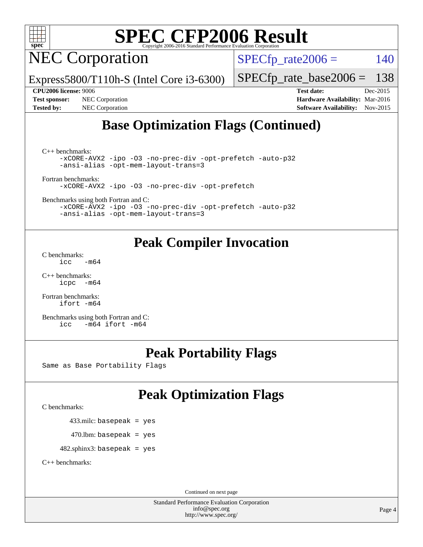

NEC Corporation

 $SPECTp_rate2006 = 140$ 

Express5800/T110h-S (Intel Core i3-6300)

[SPECfp\\_rate\\_base2006 =](http://www.spec.org/auto/cpu2006/Docs/result-fields.html#SPECfpratebase2006) 138 **[CPU2006 license:](http://www.spec.org/auto/cpu2006/Docs/result-fields.html#CPU2006license)** 9006 **[Test date:](http://www.spec.org/auto/cpu2006/Docs/result-fields.html#Testdate)** Dec-2015

**[Test sponsor:](http://www.spec.org/auto/cpu2006/Docs/result-fields.html#Testsponsor)** NEC Corporation **[Hardware Availability:](http://www.spec.org/auto/cpu2006/Docs/result-fields.html#HardwareAvailability)** Mar-2016 **[Tested by:](http://www.spec.org/auto/cpu2006/Docs/result-fields.html#Testedby)** NEC Corporation **[Software Availability:](http://www.spec.org/auto/cpu2006/Docs/result-fields.html#SoftwareAvailability)** Nov-2015

### **[Base Optimization Flags \(Continued\)](http://www.spec.org/auto/cpu2006/Docs/result-fields.html#BaseOptimizationFlags)**

[C++ benchmarks:](http://www.spec.org/auto/cpu2006/Docs/result-fields.html#CXXbenchmarks)

[-xCORE-AVX2](http://www.spec.org/cpu2006/results/res2016q1/cpu2006-20160125-38943.flags.html#user_CXXbase_f-xAVX2_5f5fc0cbe2c9f62c816d3e45806c70d7) [-ipo](http://www.spec.org/cpu2006/results/res2016q1/cpu2006-20160125-38943.flags.html#user_CXXbase_f-ipo) [-O3](http://www.spec.org/cpu2006/results/res2016q1/cpu2006-20160125-38943.flags.html#user_CXXbase_f-O3) [-no-prec-div](http://www.spec.org/cpu2006/results/res2016q1/cpu2006-20160125-38943.flags.html#user_CXXbase_f-no-prec-div) [-opt-prefetch](http://www.spec.org/cpu2006/results/res2016q1/cpu2006-20160125-38943.flags.html#user_CXXbase_f-opt-prefetch) [-auto-p32](http://www.spec.org/cpu2006/results/res2016q1/cpu2006-20160125-38943.flags.html#user_CXXbase_f-auto-p32) [-ansi-alias](http://www.spec.org/cpu2006/results/res2016q1/cpu2006-20160125-38943.flags.html#user_CXXbase_f-ansi-alias) [-opt-mem-layout-trans=3](http://www.spec.org/cpu2006/results/res2016q1/cpu2006-20160125-38943.flags.html#user_CXXbase_f-opt-mem-layout-trans_a7b82ad4bd7abf52556d4961a2ae94d5)

[Fortran benchmarks](http://www.spec.org/auto/cpu2006/Docs/result-fields.html#Fortranbenchmarks):

[-xCORE-AVX2](http://www.spec.org/cpu2006/results/res2016q1/cpu2006-20160125-38943.flags.html#user_FCbase_f-xAVX2_5f5fc0cbe2c9f62c816d3e45806c70d7) [-ipo](http://www.spec.org/cpu2006/results/res2016q1/cpu2006-20160125-38943.flags.html#user_FCbase_f-ipo) [-O3](http://www.spec.org/cpu2006/results/res2016q1/cpu2006-20160125-38943.flags.html#user_FCbase_f-O3) [-no-prec-div](http://www.spec.org/cpu2006/results/res2016q1/cpu2006-20160125-38943.flags.html#user_FCbase_f-no-prec-div) [-opt-prefetch](http://www.spec.org/cpu2006/results/res2016q1/cpu2006-20160125-38943.flags.html#user_FCbase_f-opt-prefetch)

[Benchmarks using both Fortran and C](http://www.spec.org/auto/cpu2006/Docs/result-fields.html#BenchmarksusingbothFortranandC): [-xCORE-AVX2](http://www.spec.org/cpu2006/results/res2016q1/cpu2006-20160125-38943.flags.html#user_CC_FCbase_f-xAVX2_5f5fc0cbe2c9f62c816d3e45806c70d7) [-ipo](http://www.spec.org/cpu2006/results/res2016q1/cpu2006-20160125-38943.flags.html#user_CC_FCbase_f-ipo) [-O3](http://www.spec.org/cpu2006/results/res2016q1/cpu2006-20160125-38943.flags.html#user_CC_FCbase_f-O3) [-no-prec-div](http://www.spec.org/cpu2006/results/res2016q1/cpu2006-20160125-38943.flags.html#user_CC_FCbase_f-no-prec-div) [-opt-prefetch](http://www.spec.org/cpu2006/results/res2016q1/cpu2006-20160125-38943.flags.html#user_CC_FCbase_f-opt-prefetch) [-auto-p32](http://www.spec.org/cpu2006/results/res2016q1/cpu2006-20160125-38943.flags.html#user_CC_FCbase_f-auto-p32) [-ansi-alias](http://www.spec.org/cpu2006/results/res2016q1/cpu2006-20160125-38943.flags.html#user_CC_FCbase_f-ansi-alias) [-opt-mem-layout-trans=3](http://www.spec.org/cpu2006/results/res2016q1/cpu2006-20160125-38943.flags.html#user_CC_FCbase_f-opt-mem-layout-trans_a7b82ad4bd7abf52556d4961a2ae94d5)

### **[Peak Compiler Invocation](http://www.spec.org/auto/cpu2006/Docs/result-fields.html#PeakCompilerInvocation)**

[C benchmarks](http://www.spec.org/auto/cpu2006/Docs/result-fields.html#Cbenchmarks):  $\text{icc}$  -m64

[C++ benchmarks:](http://www.spec.org/auto/cpu2006/Docs/result-fields.html#CXXbenchmarks)  $i<sub>core</sub>$   $-m64$ 

[Fortran benchmarks](http://www.spec.org/auto/cpu2006/Docs/result-fields.html#Fortranbenchmarks): [ifort -m64](http://www.spec.org/cpu2006/results/res2016q1/cpu2006-20160125-38943.flags.html#user_FCpeak_intel_ifort_64bit_ee9d0fb25645d0210d97eb0527dcc06e)

[Benchmarks using both Fortran and C](http://www.spec.org/auto/cpu2006/Docs/result-fields.html#BenchmarksusingbothFortranandC): [icc -m64](http://www.spec.org/cpu2006/results/res2016q1/cpu2006-20160125-38943.flags.html#user_CC_FCpeak_intel_icc_64bit_0b7121f5ab7cfabee23d88897260401c) [ifort -m64](http://www.spec.org/cpu2006/results/res2016q1/cpu2006-20160125-38943.flags.html#user_CC_FCpeak_intel_ifort_64bit_ee9d0fb25645d0210d97eb0527dcc06e)

### **[Peak Portability Flags](http://www.spec.org/auto/cpu2006/Docs/result-fields.html#PeakPortabilityFlags)**

Same as Base Portability Flags

### **[Peak Optimization Flags](http://www.spec.org/auto/cpu2006/Docs/result-fields.html#PeakOptimizationFlags)**

[C benchmarks](http://www.spec.org/auto/cpu2006/Docs/result-fields.html#Cbenchmarks):

433.milc: basepeak = yes

 $470.$ lbm: basepeak = yes

 $482$ .sphinx3: basepeak = yes

[C++ benchmarks:](http://www.spec.org/auto/cpu2006/Docs/result-fields.html#CXXbenchmarks)

Continued on next page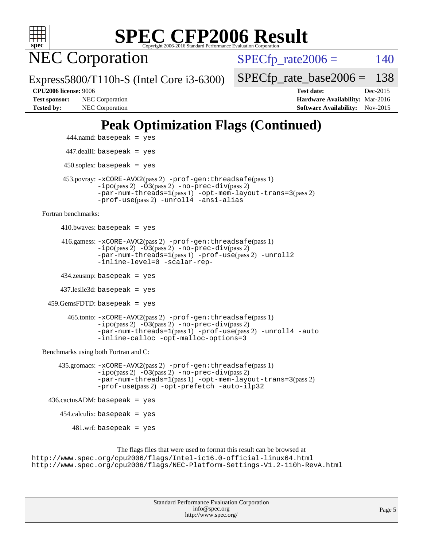

NEC Corporation

 $SPECTp\_rate2006 = 140$ 

Express5800/T110h-S (Intel Core i3-6300)

[SPECfp\\_rate\\_base2006 =](http://www.spec.org/auto/cpu2006/Docs/result-fields.html#SPECfpratebase2006) 138

**[CPU2006 license:](http://www.spec.org/auto/cpu2006/Docs/result-fields.html#CPU2006license)** 9006 **[Test date:](http://www.spec.org/auto/cpu2006/Docs/result-fields.html#Testdate)** Dec-2015 **[Test sponsor:](http://www.spec.org/auto/cpu2006/Docs/result-fields.html#Testsponsor)** NEC Corporation **NEC Corporation [Hardware Availability:](http://www.spec.org/auto/cpu2006/Docs/result-fields.html#HardwareAvailability)** Mar-2016 [Tested by:](http://www.spec.org/auto/cpu2006/Docs/result-fields.html#Testedby) NEC Corporation **[Software Availability:](http://www.spec.org/auto/cpu2006/Docs/result-fields.html#SoftwareAvailability)** Nov-2015

### **[Peak Optimization Flags \(Continued\)](http://www.spec.org/auto/cpu2006/Docs/result-fields.html#PeakOptimizationFlags)**

```
 444.namd: basepeak = yes
          447.dealII: basepeak = yes
        450.soplex: basepeak = yes
         453.povray: -xCORE-AVX2(pass 2) -prof-gen:threadsafe(pass 1)
                  -no-prec-div(pass 2)-par-num-threads=1(pass 1) -opt-mem-layout-trans=3(pass 2)
                  -prof-use(pass 2) -unroll4 -ansi-alias
  Fortran benchmarks: 
         410.bwaves: basepeak = yes
         416.gamess: -xCORE-AVX2(pass 2) -prof-gen:threadsafe(pass 1)
                 -ipo(pass 2) -03(pass 2) -no-prec-div(pass 2)-par-num-threads=1(pass 1) -prof-use(pass 2) -unroll2
                  -inline-level=0 -scalar-rep-
         434.zeusmp: basepeak = yes
        437.leslie3d: basepeak = yes
     459.GemsFDTD: basepeak = yes
          465.tonto: -xCORE-AVX2(pass 2) -prof-gen:threadsafe(pass 1)
                  -ipo(pass 2) -O3(pass 2) -no-prec-div(pass 2)
                  -par-num-threads=1(pass 1) -prof-use(pass 2) -unroll4 -auto
                  -inline-calloc -opt-malloc-options=3
  Benchmarks using both Fortran and C: 
        435.gromacs: -xCORE-AVX2(pass 2) -prof-gen:threadsafe(pass 1)
                  -no-prec-div(pass 2)-par-num-threads=1(pass 1) -opt-mem-layout-trans=3(pass 2)
                  -prof-use(pass 2) -opt-prefetch -auto-ilp32
    436.cactusADM:basepeak = yes 454.calculix: basepeak = yes
           481.wrf: basepeak = yes
                       The flags files that were used to format this result can be browsed at
http://www.spec.org/cpu2006/flags/Intel-ic16.0-official-linux64.html
http://www.spec.org/cpu2006/flags/NEC-Platform-Settings-V1.2-110h-RevA.html
```